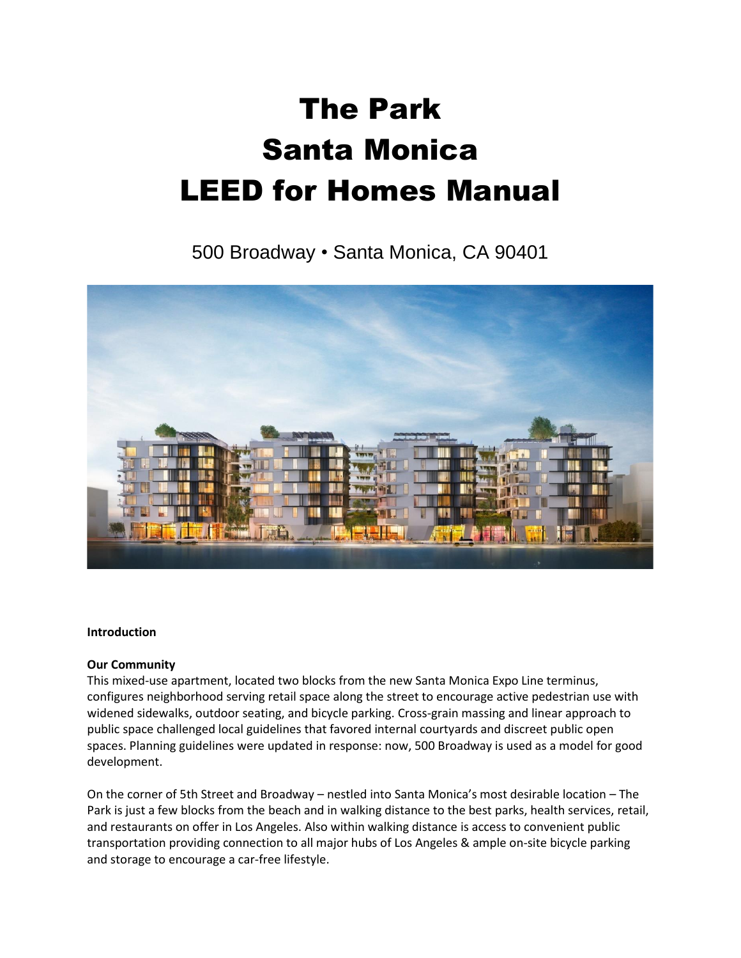# The Park Santa Monica LEED for Homes Manual

500 Broadway • Santa Monica, CA 90401



#### **Introduction**

#### **Our Community**

This mixed-use apartment, located two blocks from the new Santa Monica Expo Line terminus, configures neighborhood serving retail space along the street to encourage active pedestrian use with widened sidewalks, outdoor seating, and bicycle parking. Cross-grain massing and linear approach to public space challenged local guidelines that favored internal courtyards and discreet public open spaces. Planning guidelines were updated in response: now, 500 Broadway is used as a model for good development.

On the corner of 5th Street and Broadway – nestled into Santa Monica's most desirable location – The Park is just a few blocks from the beach and in walking distance to the best parks, health services, retail, and restaurants on offer in Los Angeles. Also within walking distance is access to convenient public transportation providing connection to all major hubs of Los Angeles & ample on-site bicycle parking and storage to encourage a car-free lifestyle.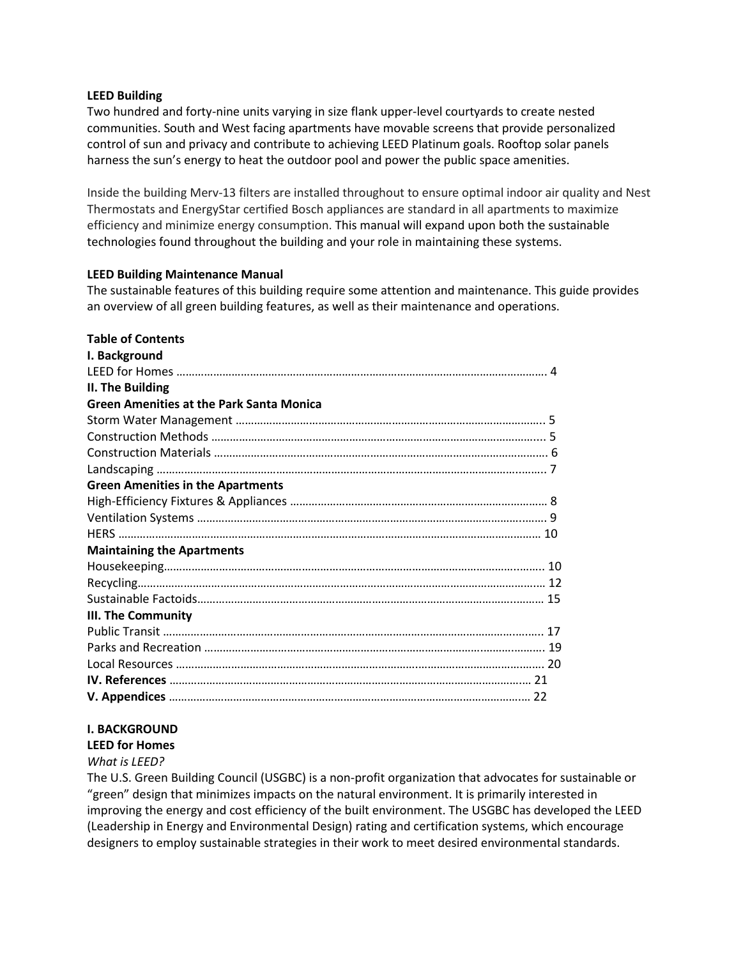#### **LEED Building**

Two hundred and forty-nine units varying in size flank upper-level courtyards to create nested communities. South and West facing apartments have movable screens that provide personalized control of sun and privacy and contribute to achieving LEED Platinum goals. Rooftop solar panels harness the sun's energy to heat the outdoor pool and power the public space amenities.

Inside the building Merv-13 filters are installed throughout to ensure optimal indoor air quality and Nest Thermostats and EnergyStar certified Bosch appliances are standard in all apartments to maximize efficiency and minimize energy consumption. This manual will expand upon both the sustainable technologies found throughout the building and your role in maintaining these systems.

#### **LEED Building Maintenance Manual**

The sustainable features of this building require some attention and maintenance. This guide provides an overview of all green building features, as well as their maintenance and operations.

## **Table of Contents**

| I. Background                                   |  |
|-------------------------------------------------|--|
|                                                 |  |
| II. The Building                                |  |
| <b>Green Amenities at the Park Santa Monica</b> |  |
|                                                 |  |
|                                                 |  |
|                                                 |  |
|                                                 |  |
| <b>Green Amenities in the Apartments</b>        |  |
|                                                 |  |
|                                                 |  |
|                                                 |  |
| <b>Maintaining the Apartments</b>               |  |
|                                                 |  |
|                                                 |  |
|                                                 |  |
| <b>III. The Community</b>                       |  |
|                                                 |  |
|                                                 |  |
|                                                 |  |
|                                                 |  |
|                                                 |  |

## **I. BACKGROUND**

#### **LEED for Homes**

#### *What is LEED?*

The U.S. Green Building Council (USGBC) is a non-profit organization that advocates for sustainable or "green" design that minimizes impacts on the natural environment. It is primarily interested in improving the energy and cost efficiency of the built environment. The USGBC has developed the LEED (Leadership in Energy and Environmental Design) rating and certification systems, which encourage designers to employ sustainable strategies in their work to meet desired environmental standards.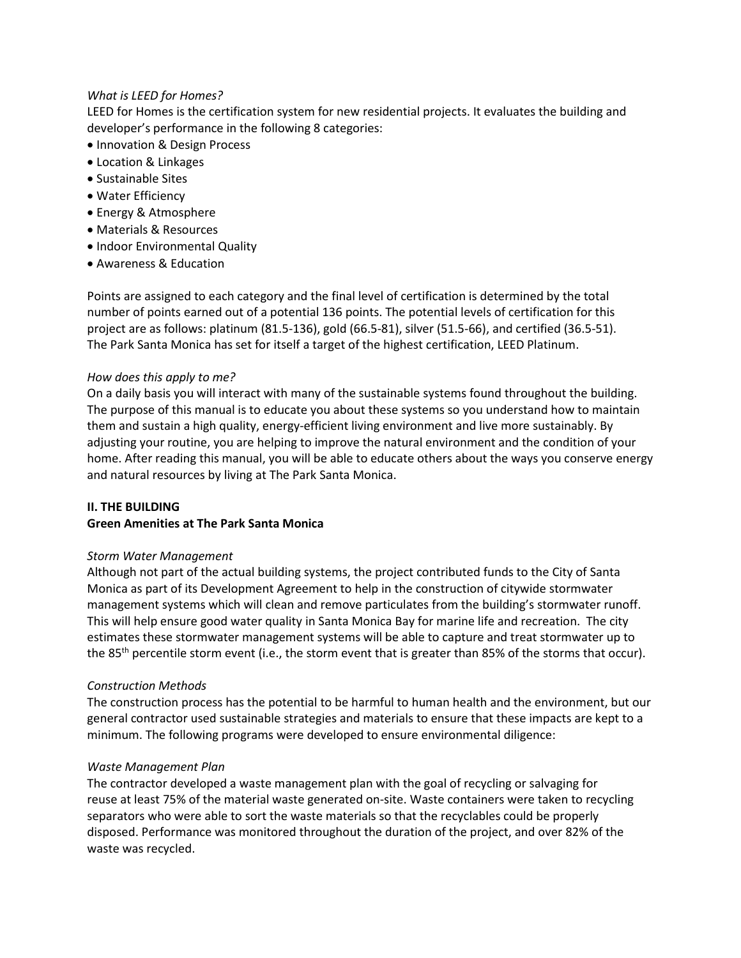#### *What is LEED for Homes?*

LEED for Homes is the certification system for new residential projects. It evaluates the building and developer's performance in the following 8 categories:

- Innovation & Design Process
- Location & Linkages
- Sustainable Sites
- Water Efficiency
- Energy & Atmosphere
- Materials & Resources
- Indoor Environmental Quality
- Awareness & Education

Points are assigned to each category and the final level of certification is determined by the total number of points earned out of a potential 136 points. The potential levels of certification for this project are as follows: platinum (81.5-136), gold (66.5-81), silver (51.5-66), and certified (36.5-51). The Park Santa Monica has set for itself a target of the highest certification, LEED Platinum.

#### *How does this apply to me?*

On a daily basis you will interact with many of the sustainable systems found throughout the building. The purpose of this manual is to educate you about these systems so you understand how to maintain them and sustain a high quality, energy-efficient living environment and live more sustainably. By adjusting your routine, you are helping to improve the natural environment and the condition of your home. After reading this manual, you will be able to educate others about the ways you conserve energy and natural resources by living at The Park Santa Monica.

#### **II. THE BUILDING**

#### **Green Amenities at The Park Santa Monica**

#### *Storm Water Management*

Although not part of the actual building systems, the project contributed funds to the City of Santa Monica as part of its Development Agreement to help in the construction of citywide stormwater management systems which will clean and remove particulates from the building's stormwater runoff. This will help ensure good water quality in Santa Monica Bay for marine life and recreation. The city estimates these stormwater management systems will be able to capture and treat stormwater up to the 85<sup>th</sup> percentile storm event (i.e., the storm event that is greater than 85% of the storms that occur).

#### *Construction Methods*

The construction process has the potential to be harmful to human health and the environment, but our general contractor used sustainable strategies and materials to ensure that these impacts are kept to a minimum. The following programs were developed to ensure environmental diligence:

#### *Waste Management Plan*

The contractor developed a waste management plan with the goal of recycling or salvaging for reuse at least 75% of the material waste generated on-site. Waste containers were taken to recycling separators who were able to sort the waste materials so that the recyclables could be properly disposed. Performance was monitored throughout the duration of the project, and over 82% of the waste was recycled.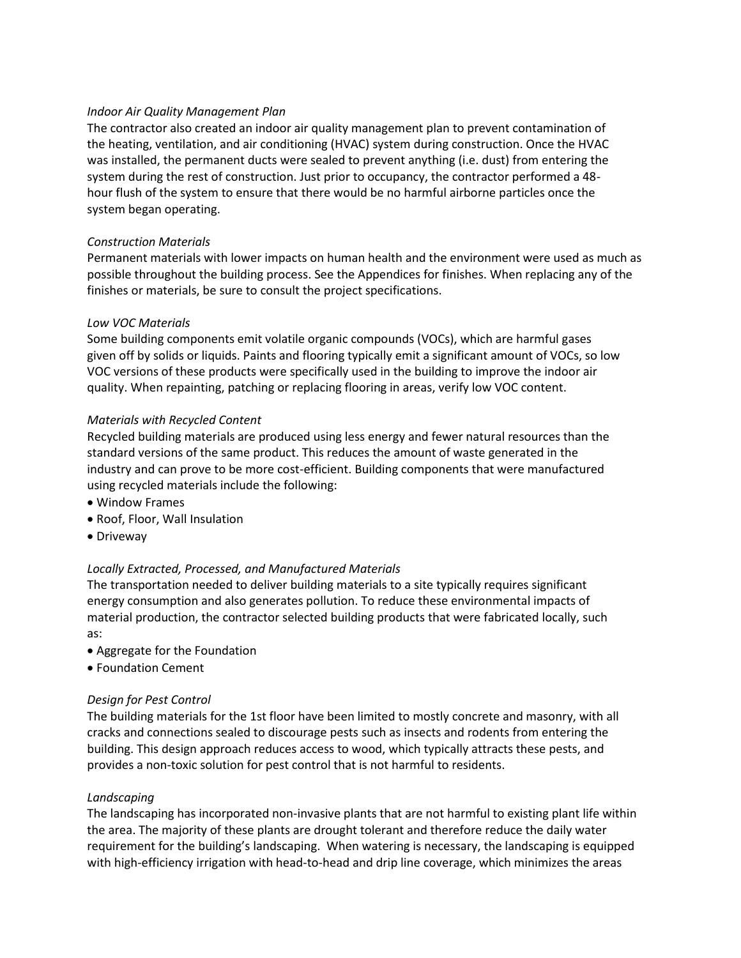#### *Indoor Air Quality Management Plan*

The contractor also created an indoor air quality management plan to prevent contamination of the heating, ventilation, and air conditioning (HVAC) system during construction. Once the HVAC was installed, the permanent ducts were sealed to prevent anything (i.e. dust) from entering the system during the rest of construction. Just prior to occupancy, the contractor performed a 48 hour flush of the system to ensure that there would be no harmful airborne particles once the system began operating.

#### *Construction Materials*

Permanent materials with lower impacts on human health and the environment were used as much as possible throughout the building process. See the Appendices for finishes. When replacing any of the finishes or materials, be sure to consult the project specifications.

## *Low VOC Materials*

Some building components emit volatile organic compounds (VOCs), which are harmful gases given off by solids or liquids. Paints and flooring typically emit a significant amount of VOCs, so low VOC versions of these products were specifically used in the building to improve the indoor air quality. When repainting, patching or replacing flooring in areas, verify low VOC content.

## *Materials with Recycled Content*

Recycled building materials are produced using less energy and fewer natural resources than the standard versions of the same product. This reduces the amount of waste generated in the industry and can prove to be more cost-efficient. Building components that were manufactured using recycled materials include the following:

- Window Frames
- Roof, Floor, Wall Insulation
- Driveway

## *Locally Extracted, Processed, and Manufactured Materials*

The transportation needed to deliver building materials to a site typically requires significant energy consumption and also generates pollution. To reduce these environmental impacts of material production, the contractor selected building products that were fabricated locally, such as:

- Aggregate for the Foundation
- Foundation Cement

## *Design for Pest Control*

The building materials for the 1st floor have been limited to mostly concrete and masonry, with all cracks and connections sealed to discourage pests such as insects and rodents from entering the building. This design approach reduces access to wood, which typically attracts these pests, and provides a non-toxic solution for pest control that is not harmful to residents.

#### *Landscaping*

The landscaping has incorporated non-invasive plants that are not harmful to existing plant life within the area. The majority of these plants are drought tolerant and therefore reduce the daily water requirement for the building's landscaping. When watering is necessary, the landscaping is equipped with high-efficiency irrigation with head-to-head and drip line coverage, which minimizes the areas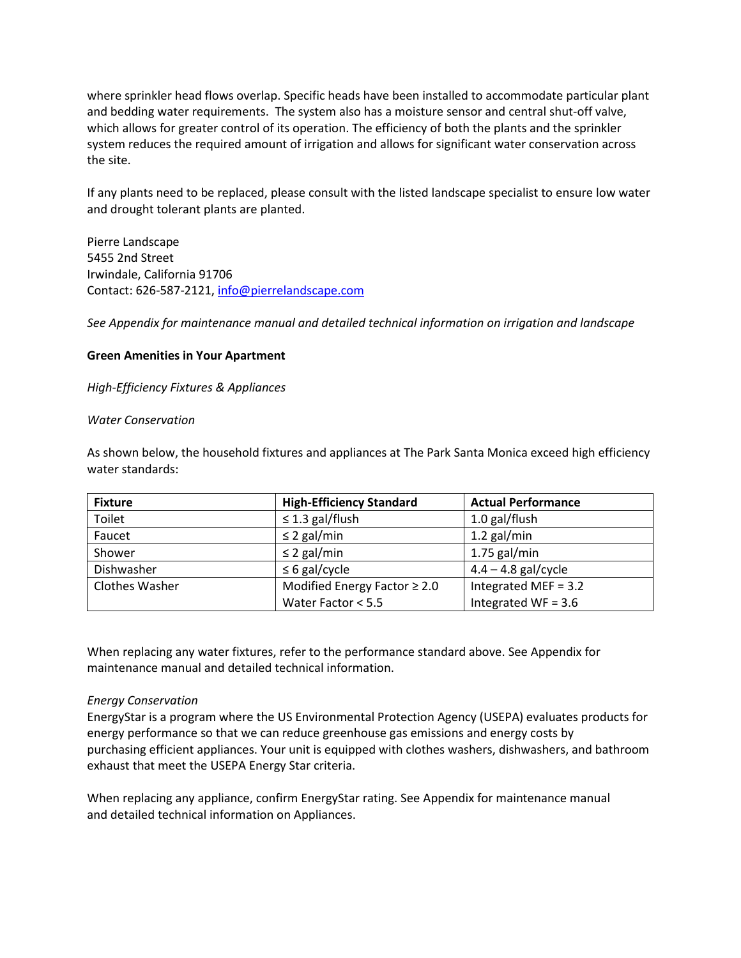where sprinkler head flows overlap. Specific heads have been installed to accommodate particular plant and bedding water requirements. The system also has a moisture sensor and central shut-off valve, which allows for greater control of its operation. The efficiency of both the plants and the sprinkler system reduces the required amount of irrigation and allows for significant water conservation across the site.

If any plants need to be replaced, please consult with the listed landscape specialist to ensure low water and drought tolerant plants are planted.

Pierre Landscape 5455 2nd Street Irwindale, California 91706 Contact: 626-587-2121, [info@pierrelandscape.com](mailto:info@pierrelandscape.com)

*See Appendix for maintenance manual and detailed technical information on irrigation and landscape*

## **Green Amenities in Your Apartment**

*High-Efficiency Fixtures & Appliances*

#### *Water Conservation*

As shown below, the household fixtures and appliances at The Park Santa Monica exceed high efficiency water standards:

| <b>Fixture</b> | <b>High-Efficiency Standard</b>   | <b>Actual Performance</b> |
|----------------|-----------------------------------|---------------------------|
| Toilet         | $\leq$ 1.3 gal/flush              | 1.0 gal/flush             |
| Faucet         | $\leq$ 2 gal/min                  | $1.2$ gal/min             |
| Shower         | $\leq$ 2 gal/min                  | $1.75$ gal/min            |
| Dishwasher     | $\leq 6$ gal/cycle                | $4.4 - 4.8$ gal/cycle     |
| Clothes Washer | Modified Energy Factor $\geq 2.0$ | Integrated MEF = 3.2      |
|                | Water Factor < 5.5                | Integrated WF = $3.6$     |

When replacing any water fixtures, refer to the performance standard above. See Appendix for maintenance manual and detailed technical information.

#### *Energy Conservation*

EnergyStar is a program where the US Environmental Protection Agency (USEPA) evaluates products for energy performance so that we can reduce greenhouse gas emissions and energy costs by purchasing efficient appliances. Your unit is equipped with clothes washers, dishwashers, and bathroom exhaust that meet the USEPA Energy Star criteria.

When replacing any appliance, confirm EnergyStar rating. See Appendix for maintenance manual and detailed technical information on Appliances.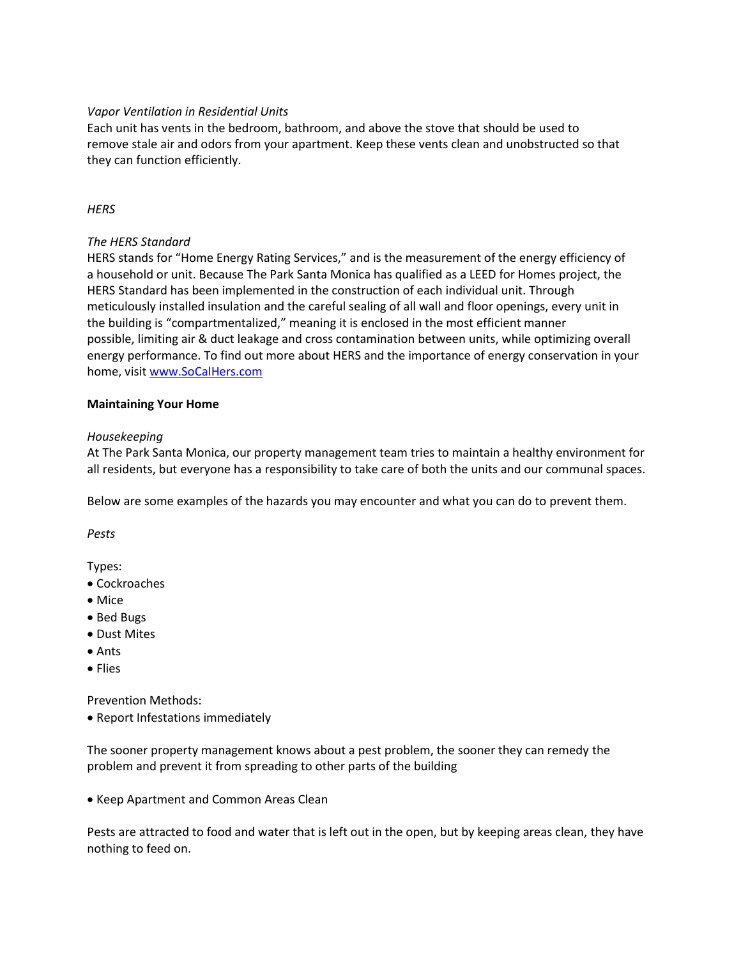## *Vapor Ventilation in Residential Units*

Each unit has vents in the bedroom, bathroom, and above the stove that should be used to remove stale air and odors from your apartment. Keep these vents clean and unobstructed so that they can function efficiently.

## *HERS*

## *The HERS Standard*

HERS stands for "Home Energy Rating Services," and is the measurement of the energy efficiency of a household or unit. Because The Park Santa Monica has qualified as a LEED for Homes project, the HERS Standard has been implemented in the construction of each individual unit. Through meticulously installed insulation and the careful sealing of all wall and floor openings, every unit in the building is "compartmentalized," meaning it is enclosed in the most efficient manner possible, limiting air & duct leakage and cross contamination between units, while optimizing overall energy performance. To find out more about HERS and the importance of energy conservation in your home, visi[t www.SoCalHers.com](http://www.socalhers.com/)

## **Maintaining Your Home**

## *Housekeeping*

At The Park Santa Monica, our property management team tries to maintain a healthy environment for all residents, but everyone has a responsibility to take care of both the units and our communal spaces.

Below are some examples of the hazards you may encounter and what you can do to prevent them.

*Pests*

Types:

- Cockroaches
- Mice
- Bed Bugs
- Dust Mites
- Ants
- Flies

Prevention Methods:

• Report Infestations immediately

The sooner property management knows about a pest problem, the sooner they can remedy the problem and prevent it from spreading to other parts of the building

• Keep Apartment and Common Areas Clean

Pests are attracted to food and water that is left out in the open, but by keeping areas clean, they have nothing to feed on.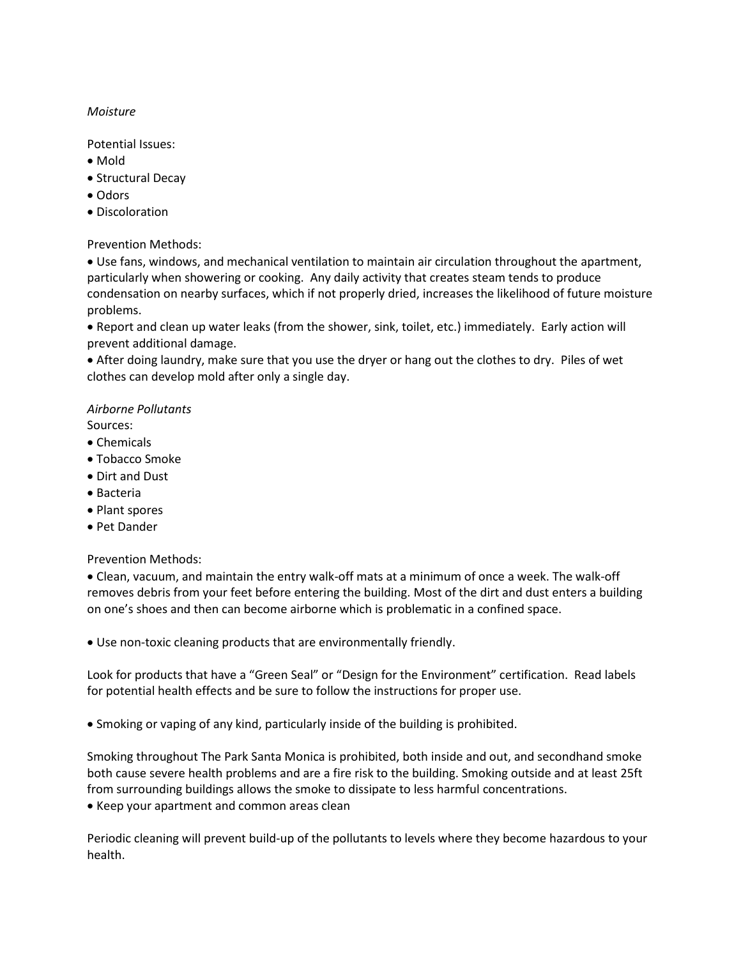## *Moisture*

Potential Issues:

- Mold
- Structural Decay
- Odors
- Discoloration

Prevention Methods:

• Use fans, windows, and mechanical ventilation to maintain air circulation throughout the apartment, particularly when showering or cooking. Any daily activity that creates steam tends to produce condensation on nearby surfaces, which if not properly dried, increases the likelihood of future moisture problems.

• Report and clean up water leaks (from the shower, sink, toilet, etc.) immediately. Early action will prevent additional damage.

• After doing laundry, make sure that you use the dryer or hang out the clothes to dry. Piles of wet clothes can develop mold after only a single day.

## *Airborne Pollutants*

Sources:

- Chemicals
- Tobacco Smoke
- Dirt and Dust
- Bacteria
- Plant spores
- Pet Dander

Prevention Methods:

• Clean, vacuum, and maintain the entry walk-off mats at a minimum of once a week. The walk-off removes debris from your feet before entering the building. Most of the dirt and dust enters a building on one's shoes and then can become airborne which is problematic in a confined space.

• Use non-toxic cleaning products that are environmentally friendly.

Look for products that have a "Green Seal" or "Design for the Environment" certification. Read labels for potential health effects and be sure to follow the instructions for proper use.

• Smoking or vaping of any kind, particularly inside of the building is prohibited.

Smoking throughout The Park Santa Monica is prohibited, both inside and out, and secondhand smoke both cause severe health problems and are a fire risk to the building. Smoking outside and at least 25ft from surrounding buildings allows the smoke to dissipate to less harmful concentrations.

• Keep your apartment and common areas clean

Periodic cleaning will prevent build-up of the pollutants to levels where they become hazardous to your health.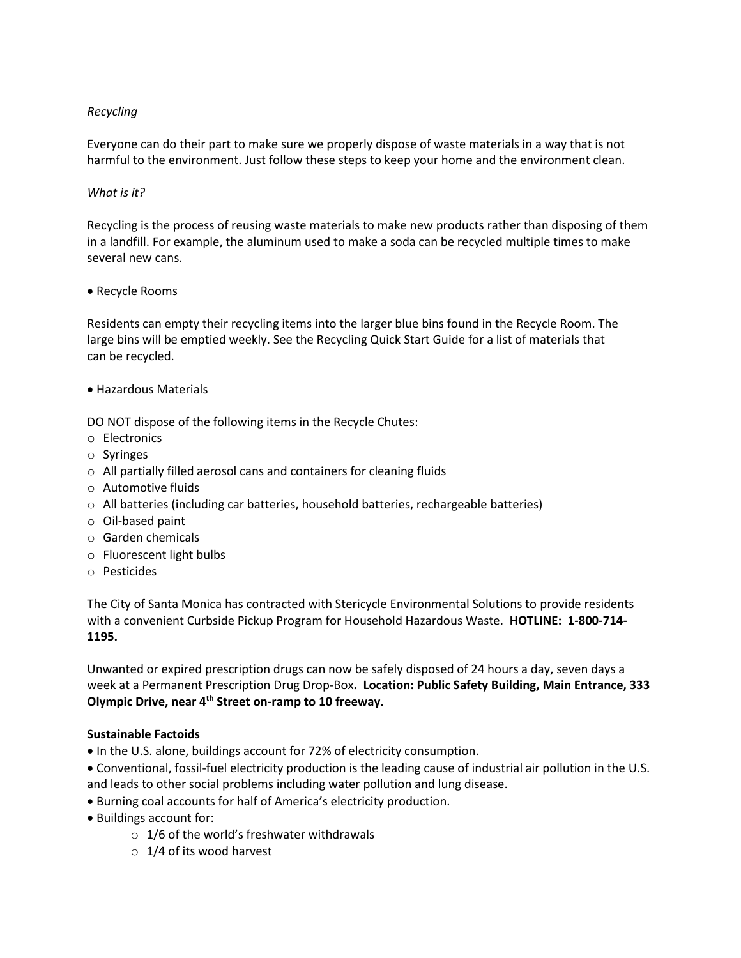## *Recycling*

Everyone can do their part to make sure we properly dispose of waste materials in a way that is not harmful to the environment. Just follow these steps to keep your home and the environment clean.

## *What is it?*

Recycling is the process of reusing waste materials to make new products rather than disposing of them in a landfill. For example, the aluminum used to make a soda can be recycled multiple times to make several new cans.

#### • Recycle Rooms

Residents can empty their recycling items into the larger blue bins found in the Recycle Room. The large bins will be emptied weekly. See the Recycling Quick Start Guide for a list of materials that can be recycled.

• Hazardous Materials

DO NOT dispose of the following items in the Recycle Chutes:

- o Electronics
- o Syringes
- o All partially filled aerosol cans and containers for cleaning fluids
- o Automotive fluids
- o All batteries (including car batteries, household batteries, rechargeable batteries)
- o Oil-based paint
- o Garden chemicals
- o Fluorescent light bulbs
- o Pesticides

The City of Santa Monica has contracted with Stericycle Environmental Solutions to provide residents with a convenient Curbside Pickup Program for Household Hazardous Waste. **HOTLINE: 1-800-714- 1195.**

Unwanted or expired prescription drugs can now be safely disposed of 24 hours a day, seven days a week at a Permanent Prescription Drug Drop-Box**. Location: Public Safety Building, Main Entrance, 333 Olympic Drive, near 4th Street on-ramp to 10 freeway.**

#### **Sustainable Factoids**

- In the U.S. alone, buildings account for 72% of electricity consumption.
- Conventional, fossil-fuel electricity production is the leading cause of industrial air pollution in the U.S. and leads to other social problems including water pollution and lung disease.
- Burning coal accounts for half of America's electricity production.
- Buildings account for:
	- $\circ$  1/6 of the world's freshwater withdrawals
	- o 1/4 of its wood harvest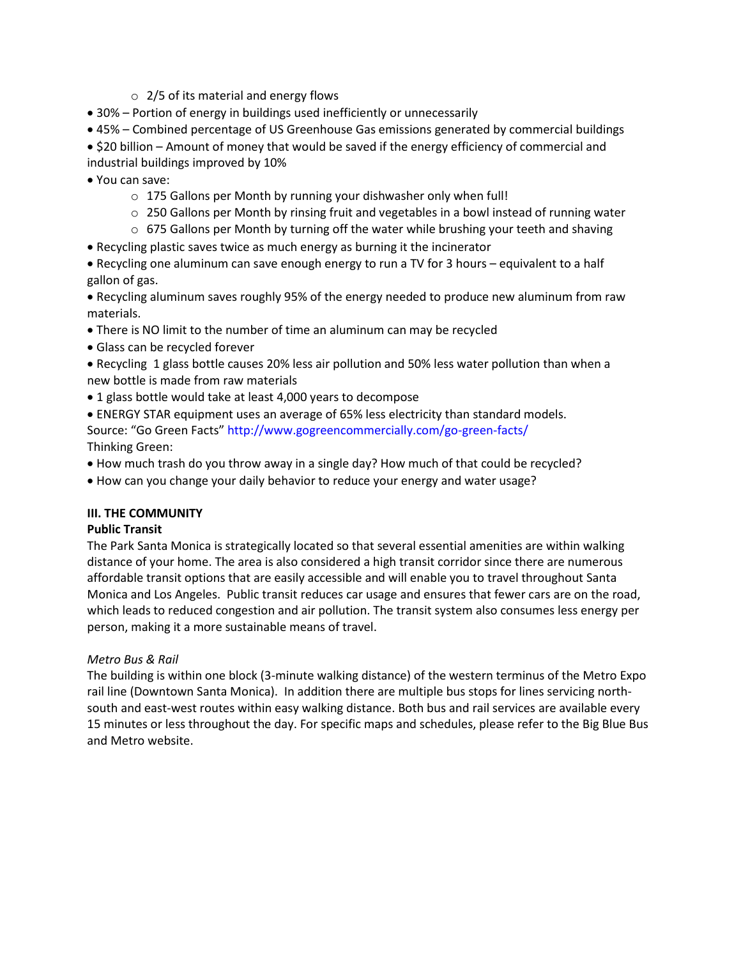- $\circ$  2/5 of its material and energy flows
- 30% Portion of energy in buildings used inefficiently or unnecessarily
- 45% Combined percentage of US Greenhouse Gas emissions generated by commercial buildings

• \$20 billion – Amount of money that would be saved if the energy efficiency of commercial and industrial buildings improved by 10%

- You can save:
	- o 175 Gallons per Month by running your dishwasher only when full!
	- $\circ$  250 Gallons per Month by rinsing fruit and vegetables in a bowl instead of running water
	- o 675 Gallons per Month by turning off the water while brushing your teeth and shaving
- Recycling plastic saves twice as much energy as burning it the incinerator

• Recycling one aluminum can save enough energy to run a TV for 3 hours – equivalent to a half gallon of gas.

• Recycling aluminum saves roughly 95% of the energy needed to produce new aluminum from raw materials.

- There is NO limit to the number of time an aluminum can may be recycled
- Glass can be recycled forever
- Recycling 1 glass bottle causes 20% less air pollution and 50% less water pollution than when a new bottle is made from raw materials
- 1 glass bottle would take at least 4,000 years to decompose
- ENERGY STAR equipment uses an average of 65% less electricity than standard models. Source: "Go Green Facts" http://www.gogreencommercially.com/go-green-facts/ Thinking Green:
- How much trash do you throw away in a single day? How much of that could be recycled?
- How can you change your daily behavior to reduce your energy and water usage?

## **III. THE COMMUNITY**

## **Public Transit**

The Park Santa Monica is strategically located so that several essential amenities are within walking distance of your home. The area is also considered a high transit corridor since there are numerous affordable transit options that are easily accessible and will enable you to travel throughout Santa Monica and Los Angeles. Public transit reduces car usage and ensures that fewer cars are on the road, which leads to reduced congestion and air pollution. The transit system also consumes less energy per person, making it a more sustainable means of travel.

## *Metro Bus & Rail*

The building is within one block (3-minute walking distance) of the western terminus of the Metro Expo rail line (Downtown Santa Monica). In addition there are multiple bus stops for lines servicing northsouth and east-west routes within easy walking distance. Both bus and rail services are available every 15 minutes or less throughout the day. For specific maps and schedules, please refer to the Big Blue Bus and Metro website.